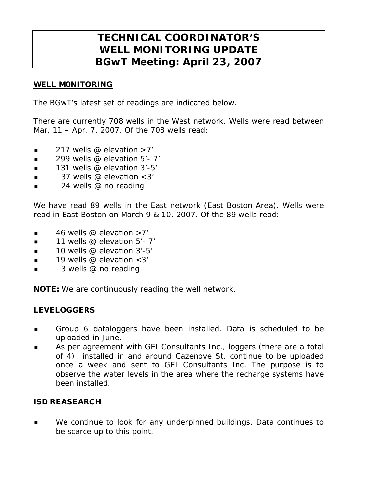# **TECHNICAL COORDINATOR'S WELL MONITORING UPDATE BGwT Meeting: April 23, 2007**

#### WELL M0NITORING

The BGwT's latest set of readings are indicated below.

There are currently 708 wells in the West network. Wells were read between Mar. 11 – Apr. 7, 2007. Of the 708 wells read:

- $\blacksquare$  217 wells @ elevation >7'
- $\blacksquare$  299 wells @ elevation 5'-7'
- **131 wells @ elevation 3'-5'**
- 37 wells @ elevation <3'
- 24 wells @ no reading

We have read 89 wells in the East network (East Boston Area). Wells were read in East Boston on March 9 & 10, 2007. Of the 89 wells read:

- 46 wells @ elevation >7'
- $\blacksquare$  11 wells @ elevation 5'- 7'
- 10 wells @ elevation 3'-5'
- $\blacksquare$  19 wells @ elevation < 3'
- 3 wells @ no reading

NOTE: We are continuously reading the well network.

### LEVELOGGERS

- Group 6 dataloggers have been installed. Data is scheduled to be uploaded in June.
- As per agreement with GEI Consultants Inc., loggers (there are a total of 4) installed in and around Cazenove St. continue to be uploaded once a week and sent to GEI Consultants Inc. The purpose is to observe the water levels in the area where the recharge systems have been installed.

#### ISD REASEARCH

**We continue to look for any underpinned buildings. Data continues to** be scarce up to this point.